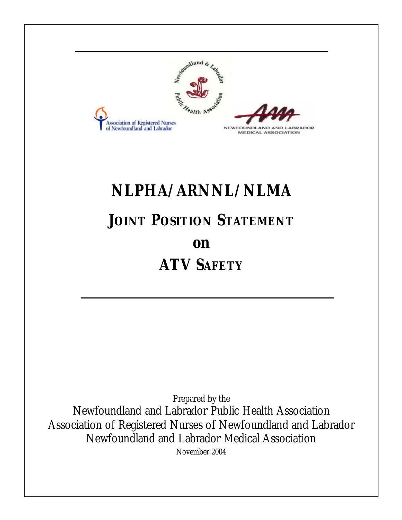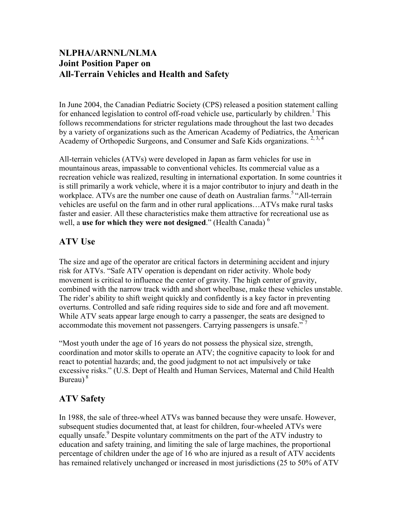## **NLPHA/ARNNL/NLMA Joint Position Paper on All-Terrain Vehicles and Health and Safety**

In June 2004, the Canadian Pediatric Society (CPS) released a position statement calling for enhanced legislation to control off-road vehicle use, particularly by children.<sup>1</sup> This follows recommendations for stricter regulations made throughout the last two decades by a variety of organizations such as the American Academy of Pediatrics, the American Academy of Orthopedic Surgeons, and Consumer and Safe Kids organizations.<sup>2, 3, 4</sup>

All-terrain vehicles (ATVs) were developed in Japan as farm vehicles for use in mountainous areas, impassable to conventional vehicles. Its commercial value as a recreation vehicle was realized, resulting in international exportation. In some countries it is still primarily a work vehicle, where it is a major contributor to injury and death in the workplace. ATVs are the number one cause of death on Australian farms.<sup>5 "All-terrain</sup> vehicles are useful on the farm and in other rural applications…ATVs make rural tasks faster and easier. All these characteristics make them attractive for recreational use as well, a **use for which they were not designed**." (Health Canada) <sup>6</sup>

## **ATV Use**

The size and age of the operator are critical factors in determining accident and injury risk for ATVs. "Safe ATV operation is dependant on rider activity. Whole body movement is critical to influence the center of gravity. The high center of gravity, combined with the narrow track width and short wheelbase, make these vehicles unstable. The rider's ability to shift weight quickly and confidently is a key factor in preventing overturns. Controlled and safe riding requires side to side and fore and aft movement. While ATV seats appear large enough to carry a passenger, the seats are designed to accommodate this movement not passengers. Carrying passengers is unsafe."<sup>7</sup>

"Most youth under the age of 16 years do not possess the physical size, strength, coordination and motor skills to operate an ATV; the cognitive capacity to look for and react to potential hazards; and, the good judgment to not act impulsively or take excessive risks." (U.S. Dept of Health and Human Services, Maternal and Child Health Bureau) $8$ 

## **ATV Safety**

In 1988, the sale of three-wheel ATVs was banned because they were unsafe. However, subsequent studies documented that, at least for children, four-wheeled ATVs were equally unsafe.<sup>9</sup> Despite voluntary commitments on the part of the ATV industry to education and safety training, and limiting the sale of large machines, the proportional percentage of children under the age of 16 who are injured as a result of ATV accidents has remained relatively unchanged or increased in most jurisdictions (25 to 50% of ATV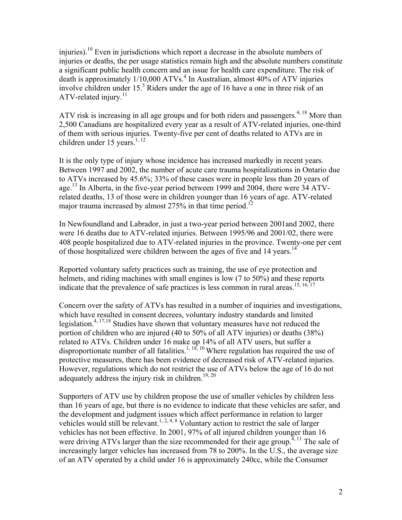injuries).10 Even in jurisdictions which report a decrease in the absolute numbers of injuries or deaths, the per usage statistics remain high and the absolute numbers constitute a significant public health concern and an issue for health care expenditure. The risk of death is approximately  $1/10,000$  ATVs.<sup>4</sup> In Australian, almost  $40\%$  of ATV injuries involve children under  $15<sup>5</sup>$  Riders under the age of 16 have a one in three risk of an ATV-related injury.<sup>11</sup>

ATV risk is increasing in all age groups and for both riders and passengers.<sup>4, 18</sup> More than 2,500 Canadians are hospitalized every year as a result of ATV-related injuries, one-third of them with serious injuries. Twenty-five per cent of deaths related to ATVs are in children under 15 years.<sup>1, 12</sup>

It is the only type of injury whose incidence has increased markedly in recent years. Between 1997 and 2002, the number of acute care trauma hospitalizations in Ontario due to ATVs increased by 45.6%; 33% of these cases were in people less than 20 years of age.<sup>13</sup> In Alberta, in the five-year period between 1999 and 2004, there were 34 ATVrelated deaths, 13 of those were in children younger than 16 years of age. ATV-related major trauma increased by almost  $275%$  in that time period.<sup>12</sup>

In Newfoundland and Labrador, in just a two-year period between 2001and 2002, there were 16 deaths due to ATV-related injuries. Between 1995/96 and 2001/02, there were 408 people hospitalized due to ATV-related injuries in the province. Twenty-one per cent of those hospitalized were children between the ages of five and 14 years.<sup>14</sup>

Reported voluntary safety practices such as training, the use of eye protection and helmets, and riding machines with small engines is low (7 to 50%) and these reports indicate that the prevalence of safe practices is less common in rural areas.<sup>15, 16, 17</sup>

Concern over the safety of ATVs has resulted in a number of inquiries and investigations, which have resulted in consent decrees, voluntary industry standards and limited legislation.4, 17,18 Studies have shown that voluntary measures have not reduced the portion of children who are injured (40 to 50% of all ATV injuries) or deaths (38%) related to ATVs. Children under 16 make up 14% of all ATV users, but suffer a disproportionate number of all fatalities.<sup>1, 18, 10</sup> Where regulation has required the use of protective measures, there has been evidence of decreased risk of ATV-related injuries. However, regulations which do not restrict the use of ATVs below the age of 16 do not adequately address the injury risk in children.<sup>19, 20</sup>

Supporters of ATV use by children propose the use of smaller vehicles by children less than 16 years of age, but there is no evidence to indicate that these vehicles are safer, and the development and judgment issues which affect performance in relation to larger vehicles would still be relevant.<sup>1, 2, 4, 8</sup> Voluntary action to restrict the sale of larger vehicles has not been effective. In 2001, 97% of all injured children younger than 16 were driving ATVs larger than the size recommended for their age group.<sup> $4, 11$ </sup> The sale of increasingly larger vehicles has increased from 78 to 200%. In the U.S., the average size of an ATV operated by a child under 16 is approximately 240cc, while the Consumer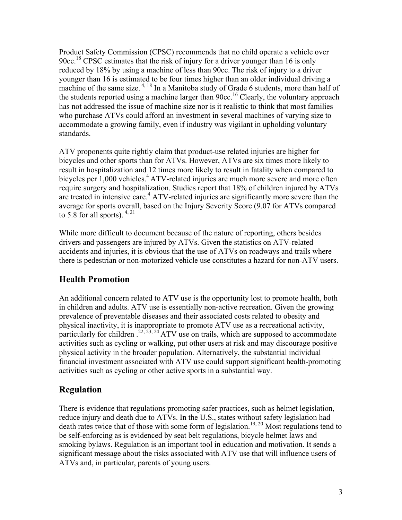Product Safety Commission (CPSC) recommends that no child operate a vehicle over 90cc.18 CPSC estimates that the risk of injury for a driver younger than 16 is only reduced by 18% by using a machine of less than 90cc. The risk of injury to a driver younger than 16 is estimated to be four times higher than an older individual driving a machine of the same size.  $4,18$  In a Manitoba study of Grade 6 students, more than half of the students reported using a machine larger than  $90cc$ <sup>16</sup> Clearly, the voluntary approach has not addressed the issue of machine size nor is it realistic to think that most families who purchase ATVs could afford an investment in several machines of varying size to accommodate a growing family, even if industry was vigilant in upholding voluntary standards.

ATV proponents quite rightly claim that product-use related injuries are higher for bicycles and other sports than for ATVs. However, ATVs are six times more likely to result in hospitalization and 12 times more likely to result in fatality when compared to bicycles per 1,000 vehicles.<sup>4</sup> ATV-related injuries are much more severe and more often require surgery and hospitalization. Studies report that 18% of children injured by ATVs are treated in intensive care.<sup>4</sup> ATV-related injuries are significantly more severe than the average for sports overall, based on the Injury Severity Score (9.07 for ATVs compared to 5.8 for all sports).  $4, 21$ 

While more difficult to document because of the nature of reporting, others besides drivers and passengers are injured by ATVs. Given the statistics on ATV-related accidents and injuries, it is obvious that the use of ATVs on roadways and trails where there is pedestrian or non-motorized vehicle use constitutes a hazard for non-ATV users.

# **Health Promotion**

An additional concern related to ATV use is the opportunity lost to promote health, both in children and adults. ATV use is essentially non-active recreation. Given the growing prevalence of preventable diseases and their associated costs related to obesity and physical inactivity, it is inappropriate to promote ATV use as a recreational activity, particularly for children  $.22, 23, 24$  ATV use on trails, which are supposed to accommodate activities such as cycling or walking, put other users at risk and may discourage positive physical activity in the broader population. Alternatively, the substantial individual financial investment associated with ATV use could support significant health-promoting activities such as cycling or other active sports in a substantial way.

# **Regulation**

There is evidence that regulations promoting safer practices, such as helmet legislation, reduce injury and death due to ATVs. In the U.S., states without safety legislation had death rates twice that of those with some form of legislation.<sup>19, 20</sup> Most regulations tend to be self-enforcing as is evidenced by seat belt regulations, bicycle helmet laws and smoking bylaws. Regulation is an important tool in education and motivation. It sends a significant message about the risks associated with ATV use that will influence users of ATVs and, in particular, parents of young users.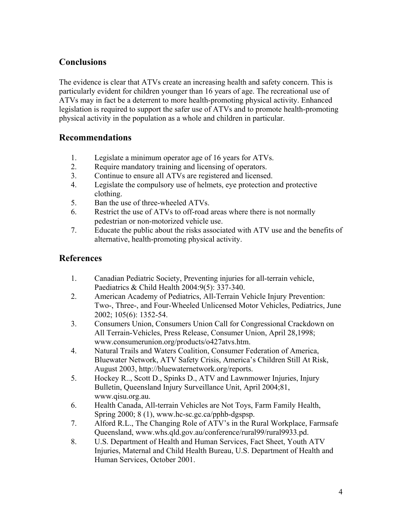## **Conclusions**

The evidence is clear that ATVs create an increasing health and safety concern. This is particularly evident for children younger than 16 years of age. The recreational use of ATVs may in fact be a deterrent to more health-promoting physical activity. Enhanced legislation is required to support the safer use of ATVs and to promote health-promoting physical activity in the population as a whole and children in particular.

#### **Recommendations**

- 1. Legislate a minimum operator age of 16 years for ATVs.
- 2. Require mandatory training and licensing of operators.
- 3. Continue to ensure all ATVs are registered and licensed.
- 4. Legislate the compulsory use of helmets, eye protection and protective clothing.
- 5. Ban the use of three-wheeled ATVs.
- 6. Restrict the use of ATVs to off-road areas where there is not normally pedestrian or non-motorized vehicle use.
- 7. Educate the public about the risks associated with ATV use and the benefits of alternative, health-promoting physical activity.

#### **References**

- 1. Canadian Pediatric Society, Preventing injuries for all-terrain vehicle, Paediatrics & Child Health 2004:9(5): 337-340.
- 2. American Academy of Pediatrics, All-Terrain Vehicle Injury Prevention: Two-, Three-, and Four-Wheeled Unlicensed Motor Vehicles, Pediatrics, June 2002; 105(6): 1352-54.
- 3. Consumers Union, Consumers Union Call for Congressional Crackdown on All Terrain-Vehicles, Press Release, Consumer Union, April 28,1998; www.consumerunion.org/products/o427atvs.htm.
- 4. Natural Trails and Waters Coalition, Consumer Federation of America, Bluewater Network, ATV Safety Crisis, America's Children Still At Risk, August 2003, http://bluewaternetwork.org/reports.
- 5. Hockey R.., Scott D., Spinks D., ATV and Lawnmower Injuries, Injury Bulletin, Queensland Injury Surveillance Unit, April 2004;81, www.qisu.org.au.
- 6. Health Canada, All-terrain Vehicles are Not Toys, Farm Family Health, Spring 2000; 8 (1), www.hc-sc.gc.ca/pphb-dgspsp.
- 7. Alford R.L., The Changing Role of ATV's in the Rural Workplace, Farmsafe Queensland, www.whs.qld.gov.au/conference/rural99/rural9933.pd.
- 8. U.S. Department of Health and Human Services, Fact Sheet, Youth ATV Injuries, Maternal and Child Health Bureau, U.S. Department of Health and Human Services, October 2001.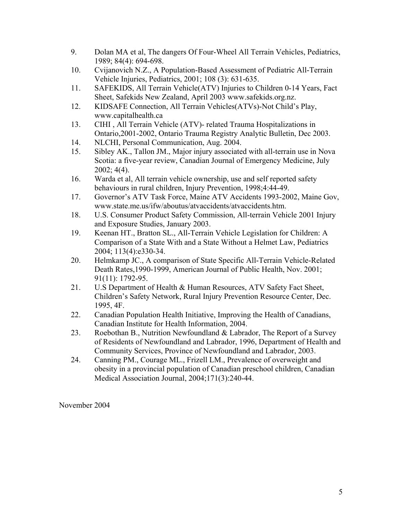- 9. Dolan MA et al, The dangers Of Four-Wheel All Terrain Vehicles, Pediatrics, 1989; 84(4): 694-698.
- 10. Cvijanovich N.Z., A Population-Based Assessment of Pediatric All-Terrain Vehicle Injuries, Pediatrics, 2001; 108 (3): 631-635.
- 11. SAFEKIDS, All Terrain Vehicle(ATV) Injuries to Children 0-14 Years, Fact Sheet, Safekids New Zealand, April 2003 www.safekids.org.nz.
- 12. KIDSAFE Connection, All Terrain Vehicles(ATVs)-Not Child's Play, www.capitalhealth.ca
- 13. CIHI , All Terrain Vehicle (ATV)- related Trauma Hospitalizations in Ontario,2001-2002, Ontario Trauma Registry Analytic Bulletin, Dec 2003.
- 14. NLCHI, Personal Communication, Aug. 2004.
- 15. Sibley AK., Tallon JM., Major injury associated with all-terrain use in Nova Scotia: a five-year review, Canadian Journal of Emergency Medicine, July  $2002; 4(4)$ .
- 16. Warda et al, All terrain vehicle ownership, use and self reported safety behaviours in rural children, Injury Prevention, 1998;4:44-49.
- 17. Governor's ATV Task Force, Maine ATV Accidents 1993-2002, Maine Gov, www.state.me.us/ifw/aboutus/atvaccidents/atvaccidents.htm.
- 18. U.S. Consumer Product Safety Commission, All-terrain Vehicle 2001 Injury and Exposure Studies, January 2003.
- 19. Keenan HT., Bratton SL., All-Terrain Vehicle Legislation for Children: A Comparison of a State With and a State Without a Helmet Law, Pediatrics 2004; 113(4):e330-34.
- 20. Helmkamp JC., A comparison of State Specific All-Terrain Vehicle-Related Death Rates,1990-1999, American Journal of Public Health, Nov. 2001; 91(11): 1792-95.
- 21. U.S Department of Health & Human Resources, ATV Safety Fact Sheet, Children's Safety Network, Rural Injury Prevention Resource Center, Dec. 1995, 4F.
- 22. Canadian Population Health Initiative, Improving the Health of Canadians, Canadian Institute for Health Information, 2004.
- 23. Roebothan B., Nutrition Newfoundland & Labrador, The Report of a Survey of Residents of Newfoundland and Labrador, 1996, Department of Health and Community Services, Province of Newfoundland and Labrador, 2003.
- 24. Canning PM., Courage ML., Frizell LM., Prevalence of overweight and obesity in a provincial population of Canadian preschool children, Canadian Medical Association Journal, 2004;171(3):240-44.

November 2004